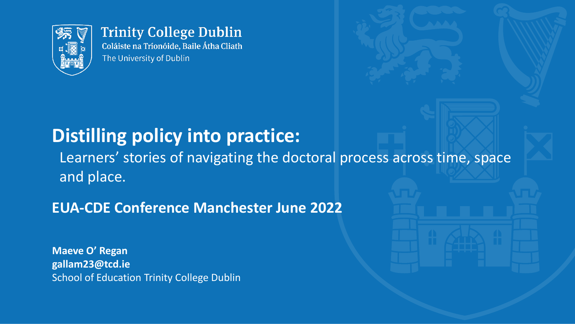

#### **Trinity College Dublin** Coláiste na Tríonóide, Baile Átha Cliath

The University of Dublin

#### **Distilling policy into practice:**

Learners' stories of navigating the doctoral process across time, space and place.

#### **EUA-CDE Conference Manchester June 2022**

**Maeve O' Regan gallam23@tcd.ie** School of Education Trinity College Dublin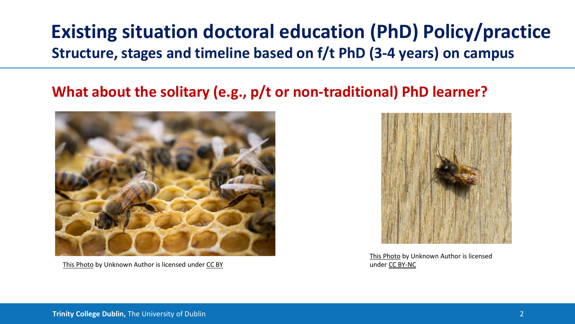#### **Existing situation doctoral education (PhD) Policy/practice Structure, stages and timeline based on f/t PhD (3-4 years) on campus**

#### **What about the solitary (e.g., p/t or non-traditional) PhD learner?**



[This Photo](https://simonemcewan.wordpress.com/2017/12/03/the-life-of-a-honey-bee/) by Unknown Author is licensed under [CC BY](https://creativecommons.org/licenses/by/3.0/)

[This Photo](https://abugblog.blogspot.com/2012/03/solitary-bees-are-back.html) by Unknown Author is licensed under [CC BY-NC](https://creativecommons.org/licenses/by-nc/3.0/)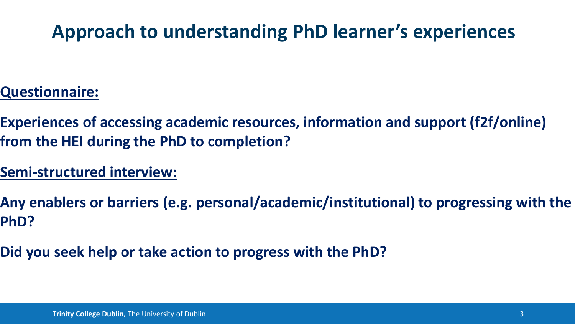# **Approach to understanding PhD learner's experiences**

- **Questionnaire:**
- **Experiences of accessing academic resources, information and support (f2f/online) from the HEI during the PhD to completion?**
- **Semi-structured interview:**
- **Any enablers or barriers (e.g. personal/academic/institutional) to progressing with the PhD?**
- **Did you seek help or take action to progress with the PhD?**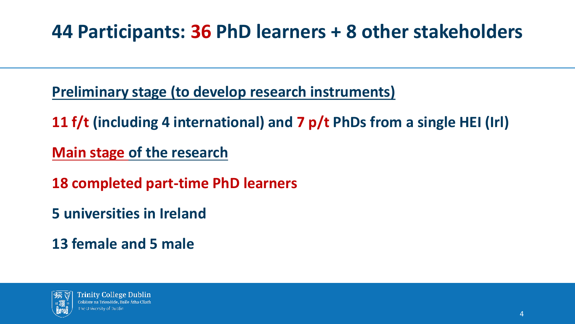# **44 Participants: 36 PhD learners + 8 other stakeholders**

**Preliminary stage (to develop research instruments)**

**11 f/t (including 4 international) and 7 p/t PhDs from a single HEI (Irl)**

**Main stage of the research**

**18 completed part-time PhD learners**

**5 universities in Ireland**

**13 female and 5 male**

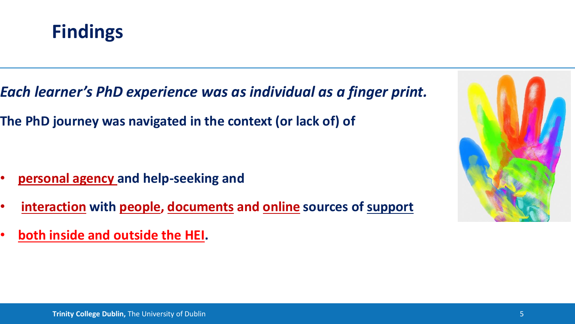

- *Each learner's PhD experience was as individual as a finger print.*
- **The PhD journey was navigated in the context (or lack of) of**

- **personal agency and help-seeking and**
- **interaction with people, documents and online sources of support**
- **both inside and outside the HEI.**

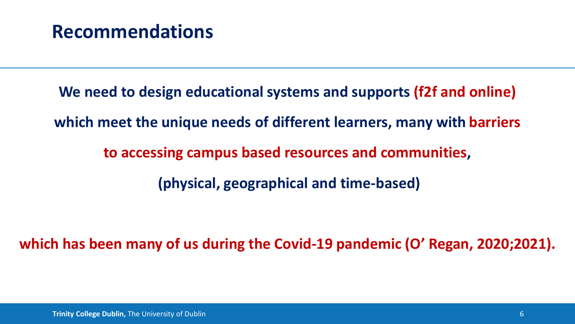#### **Recommendations**

**We need to design educational systems and supports (f2f and online) which meet the unique needs of different learners, many with barriers to accessing campus based resources and communities, (physical, geographical and time-based)** 

**which has been many of us during the Covid-19 pandemic (O' Regan, 2020;2021).**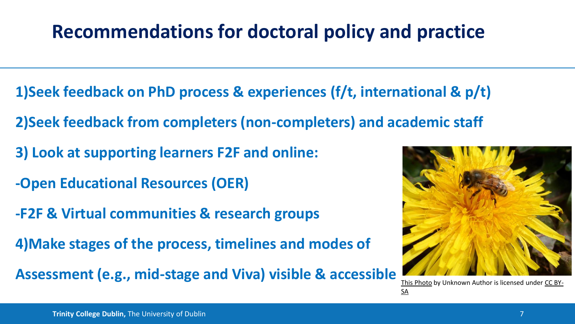# **Recommendations for doctoral policy and practice**

- **1)Seek feedback on PhD process & experiences (f/t, international & p/t)**
- **2)Seek feedback from completers (non-completers) and academic staff**
- **3) Look at supporting learners F2F and online:**
- **-Open Educational Resources (OER)**
- **-F2F & Virtual communities & research groups**
- **4)Make stages of the process, timelines and modes of**
- **Assessment (e.g., mid-stage and Viva) visible & accessible** [This Photo](https://www.talkingwithbees.com/beekeeping/honeybees/honeybee-photos) [by Unknown Author is licensed under CC BY-](https://creativecommons.org/licenses/by-sa/3.0/)



SA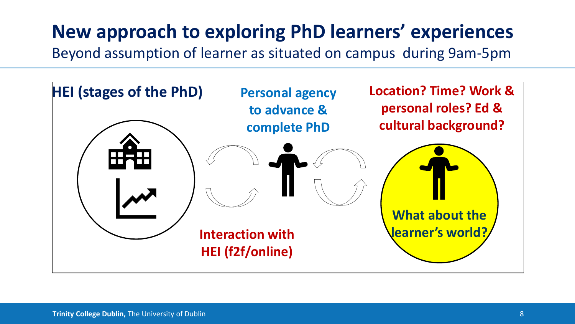# **New approach to exploring PhD learners' experiences**

Beyond assumption of learner as situated on campus during 9am-5pm

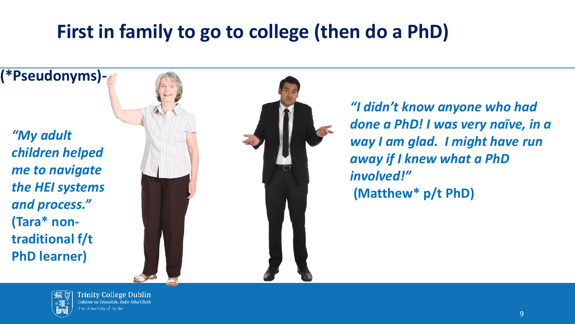# **First in family to go to college (then do a PhD)**





**Trinity College Dublin** Coláiste na Tríonóide, Baile Átha Cliath he University of Dublin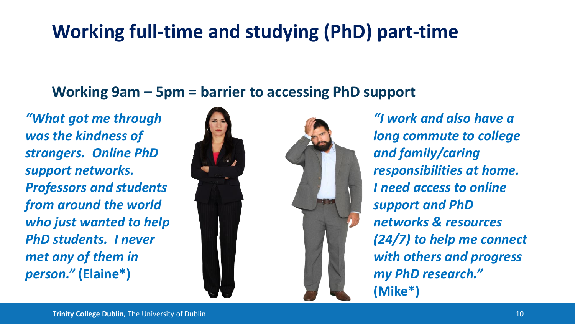# **Working full-time and studying (PhD) part-time**

**Working 9am – 5pm = barrier to accessing PhD support**

*"What got me through was the kindness of strangers. Online PhD support networks. Professors and students from around the world who just wanted to help PhD students. I never met any of them in person."* **(Elaine\*)**



*"I work and also have a long commute to college and family/caring responsibilities at home. I need access to online support and PhD networks & resources (24/7) to help me connect with others and progress my PhD research."*  **(Mike\*)**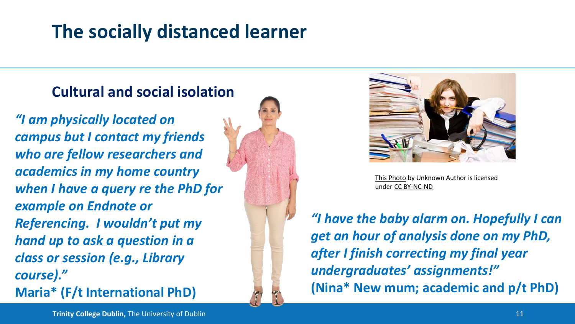# **The socially distanced learner**

#### **Cultural and social isolation**

*"I am physically located on campus but I contact my friends who are fellow researchers and academics in my home country when I have a query re the PhD for example on Endnote or Referencing. I wouldn't put my hand up to ask a question in a class or session (e.g., Library course)."* **Maria\* (F/t International PhD)**





[This Photo](https://sorrisoincognito.blogs.sapo.pt/perspectiva-vs-realidade-932934) by Unknown Author is licensed under [CC BY-NC-ND](https://creativecommons.org/licenses/by-nc-nd/3.0/)

*"I have the baby alarm on. Hopefully I can get an hour of analysis done on my PhD, after I finish correcting my final year undergraduates' assignments!"*  **(Nina\* New mum; academic and p/t PhD)**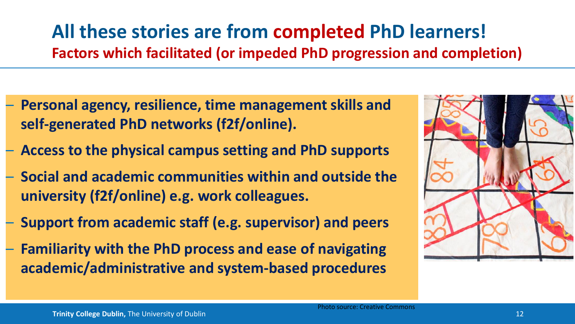#### **All these stories are from completed PhD learners! Factors which facilitated (or impeded PhD progression and completion)**

- **Personal agency, resilience, time management skills and self-generated PhD networks (f2f/online).**
- **Access to the physical campus setting and PhD supports**
- **Social and academic communities within and outside the university (f2f/online) e.g. work colleagues.**
- **Support from academic staff (e.g. supervisor) and peers**
	- **Familiarity with the PhD process and ease of navigating academic/administrative and system-based procedures**

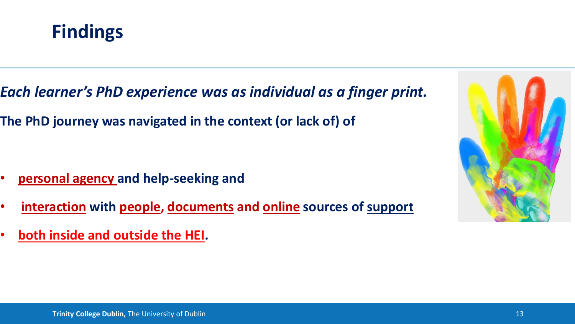

- *Each learner's PhD experience was as individual as a finger print.*
- **The PhD journey was navigated in the context (or lack of) of**

- **personal agency and help-seeking and**
- **interaction with people, documents and online sources of support**
- **both inside and outside the HEI.**

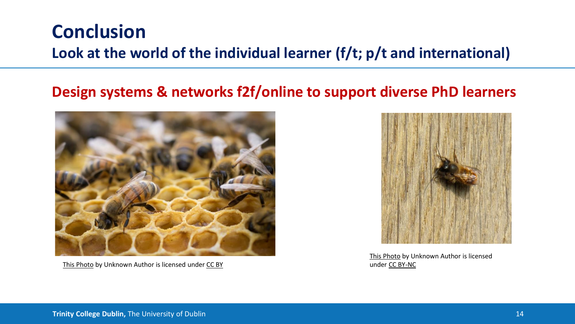#### **Conclusion**

#### **Look at the world of the individual learner (f/t; p/t and international)**

#### **Design systems & networks f2f/online to support diverse PhD learners**



[This Photo](https://simonemcewan.wordpress.com/2017/12/03/the-life-of-a-honey-bee/) by Unknown Author is licensed under [CC BY](https://creativecommons.org/licenses/by/3.0/)

[This Photo](https://abugblog.blogspot.com/2012/03/solitary-bees-are-back.html) by Unknown Author is licensed under [CC BY-NC](https://creativecommons.org/licenses/by-nc/3.0/)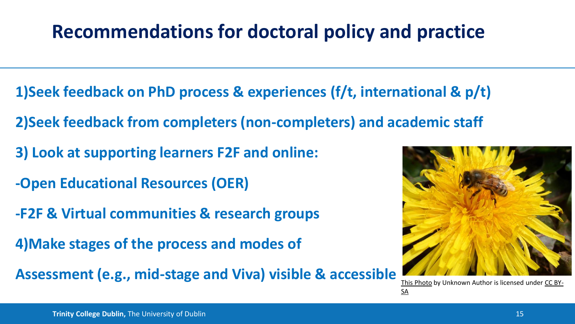# **Recommendations for doctoral policy and practice**

- **1)Seek feedback on PhD process & experiences (f/t, international & p/t)**
- **2)Seek feedback from completers (non-completers) and academic staff**
- **3) Look at supporting learners F2F and online:**
- **-Open Educational Resources (OER)**
- **-F2F & Virtual communities & research groups**
- **4)Make stages of the process and modes of**
- **Assessment (e.g., mid-stage and Viva) visible & accessible** [This Photo](https://www.talkingwithbees.com/beekeeping/honeybees/honeybee-photos) [by Unknown Author is licensed under CC BY-](https://creativecommons.org/licenses/by-sa/3.0/)



SA